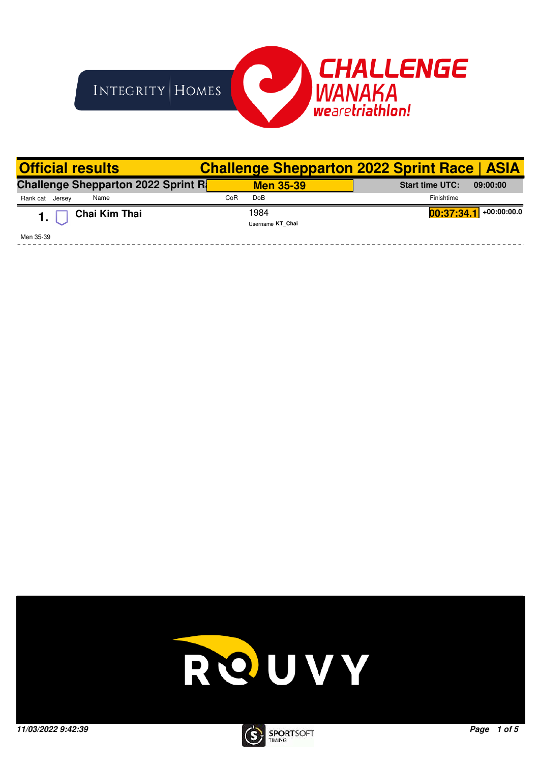

| <b>Official results</b>                   |     |                  | <b>Challenge Shepparton 2022 Sprint Race   ASIA</b> |
|-------------------------------------------|-----|------------------|-----------------------------------------------------|
| <b>Challenge Shepparton 2022 Sprint R</b> |     | <b>Men 35-39</b> | <b>Start time UTC:</b><br>09:00:00                  |
| Name<br>Rank cat Jersey                   | CoR | Do <sub>B</sub>  | Finishtime                                          |
| Chai Kim Thai                             |     | 1984             | $+00:00:00.0$<br>00:37:34.1                         |
|                                           |     | Username KT Chai |                                                     |
| Men 35-39                                 |     |                  |                                                     |



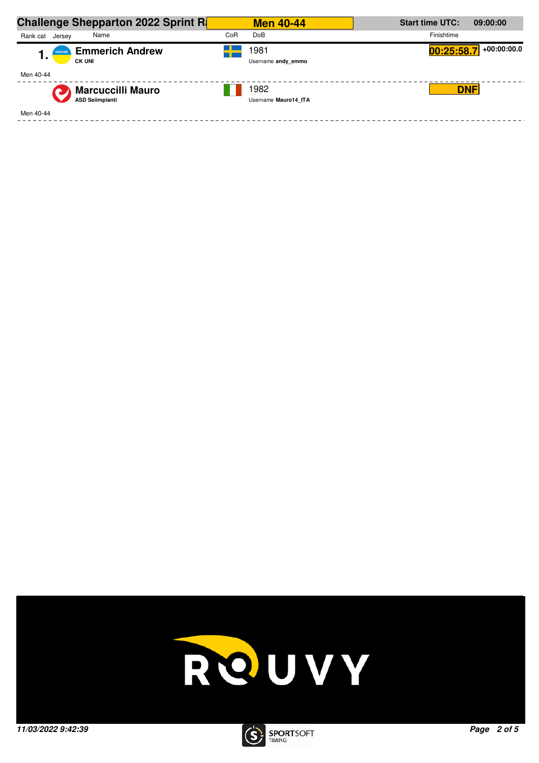| <b>Challenge Shepparton 2022 Sprint R</b> |     | <b>Men 40-44</b>     | <b>Start time UTC:</b> | 09:00:00      |
|-------------------------------------------|-----|----------------------|------------------------|---------------|
| Name<br>Rank cat<br>Jersey                | CoR | <b>DoB</b>           | Finishtime             |               |
| <b>Emmerich Andrew</b><br><b>UKRAINE</b>  |     | 1981                 | 00:25:58.7             | $+00:00:00.0$ |
| . .<br><b>CK UNI</b>                      |     | Username andy emmo   |                        |               |
| Men 40-44                                 |     |                      |                        |               |
| <b>Marcuccilli Mauro</b>                  |     | 1982                 | <b>DNF</b>             |               |
| <b>ASD Selimpianti</b>                    |     | Username Mauro14 ITA |                        |               |
| Men 40-44                                 |     |                      |                        |               |



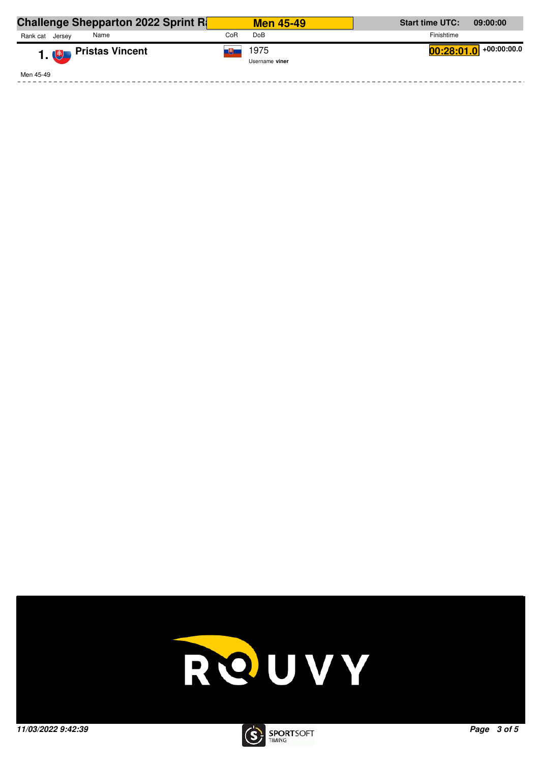| <b>Challenge Shepparton 2022 Sprint R</b> | <b>Men 45-49</b>       | <b>Start time UTC:</b><br>09:00:00 |
|-------------------------------------------|------------------------|------------------------------------|
| Rank cat<br>Name<br>Jersev                | Do <sub>B</sub><br>CoR | Finishtime                         |
| 1. <sup>#</sup> Pristas Vincent           | 1975<br>Username viner | +00:00:00.0<br>00:28:01.0          |
| Men 45-49                                 |                        |                                    |



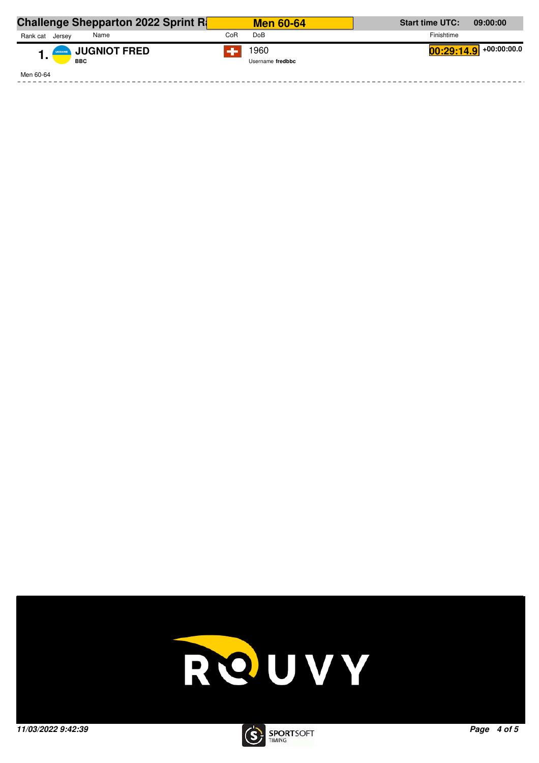| <b>Challenge Shepparton 2022 Sprint R</b> |     | <b>Men 60-64</b>         | <b>Start time UTC:</b><br>09:00:00 |
|-------------------------------------------|-----|--------------------------|------------------------------------|
| Rank cat<br>Name<br>Jersey                | CoR | Do <sub>B</sub>          | Finishtime                         |
| <b>JUGNIOT FRED</b><br><b>BBC</b>         |     | 1960<br>Username fredbbc | $00:29:14.9$ +00:00:00.0           |
| Men 60-64                                 |     |                          |                                    |